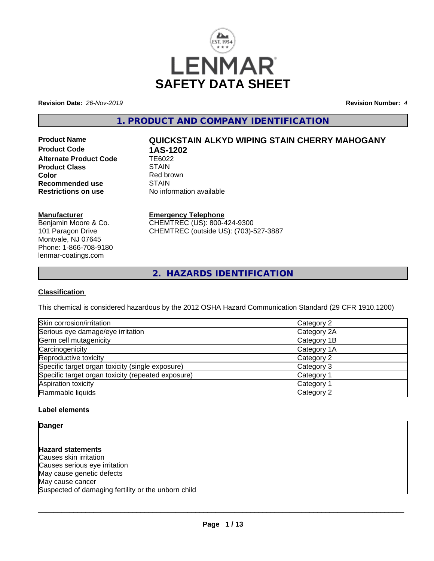

**Revision Date:** *26-Nov-2019* **Revision Number:** *4*

**1. PRODUCT AND COMPANY IDENTIFICATION**

**Product Code 1AS-1202**<br>Alternate Product Code 1E6022 **Alternate Product Code TE6022**<br>**Product Class STAIN Product Class Color**<br> **Recommended use**<br> **COLORER STAIN Recommended use**<br>Restrictions on use

# **Product Name QUICKSTAIN ALKYD WIPING STAIN CHERRY MAHOGANY**

**No information available** 

# **Manufacturer**

Benjamin Moore & Co. 101 Paragon Drive Montvale, NJ 07645 Phone: 1-866-708-9180 lenmar-coatings.com

# **Emergency Telephone**

CHEMTREC (US): 800-424-9300 CHEMTREC (outside US): (703)-527-3887

**2. HAZARDS IDENTIFICATION**

# **Classification**

This chemical is considered hazardous by the 2012 OSHA Hazard Communication Standard (29 CFR 1910.1200)

| Skin corrosion/irritation                          | Category 2  |
|----------------------------------------------------|-------------|
| Serious eye damage/eye irritation                  | Category 2A |
| Germ cell mutagenicity                             | Category 1B |
| Carcinogenicity                                    | Category 1A |
| Reproductive toxicity                              | Category 2  |
| Specific target organ toxicity (single exposure)   | Category 3  |
| Specific target organ toxicity (repeated exposure) | Category 1  |
| Aspiration toxicity                                | Category 1  |
| Flammable liquids                                  | Category 2  |

# **Label elements**

**Danger**

**Hazard statements** Causes skin irritation Causes serious eye irritation May cause genetic defects May cause cancer Suspected of damaging fertility or the unborn child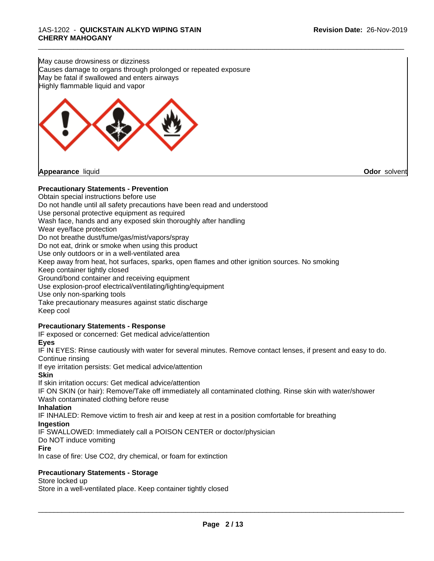May cause drowsiness or dizziness Causes damage to organs through prolonged or repeated exposure May be fatal if swallowed and enters airways Highly flammable liquid and vapor



# **Precautionary Statements - Prevention**

Obtain special instructions before use Do not handle until all safety precautions have been read and understood Use personal protective equipment as required Wash face, hands and any exposed skin thoroughly after handling Wear eye/face protection Do not breathe dust/fume/gas/mist/vapors/spray Do not eat, drink or smoke when using this product Use only outdoors or in a well-ventilated area Keep away from heat, hot surfaces, sparks, open flames and other ignition sources. No smoking Keep container tightly closed Ground/bond container and receiving equipment Use explosion-proof electrical/ventilating/lighting/equipment Use only non-sparking tools Take precautionary measures against static discharge Keep cool

\_\_\_\_\_\_\_\_\_\_\_\_\_\_\_\_\_\_\_\_\_\_\_\_\_\_\_\_\_\_\_\_\_\_\_\_\_\_\_\_\_\_\_\_\_\_\_\_\_\_\_\_\_\_\_\_\_\_\_\_\_\_\_\_\_\_\_\_\_\_\_\_\_\_\_\_\_\_\_\_\_\_\_\_\_\_\_\_\_\_\_\_\_

# **Precautionary Statements - Response**

IF exposed or concerned: Get medical advice/attention

#### **Eyes**

IF IN EYES: Rinse cautiously with water for several minutes. Remove contact lenses, if present and easy to do. Continue rinsing

If eye irritation persists: Get medical advice/attention

#### **Skin**

If skin irritation occurs: Get medical advice/attention

IF ON SKIN (or hair): Remove/Take off immediately all contaminated clothing. Rinse skin with water/shower Wash contaminated clothing before reuse

#### **Inhalation**

IF INHALED: Remove victim to fresh air and keep atrest in a position comfortable for breathing

#### **Ingestion**

IF SWALLOWED: Immediately call a POISON CENTER or doctor/physician

#### Do NOT induce vomiting

**Fire**

In case of fire: Use CO2, dry chemical, or foam for extinction

# **Precautionary Statements - Storage**

Store locked up

Store in a well-ventilated place. Keep container tightly closed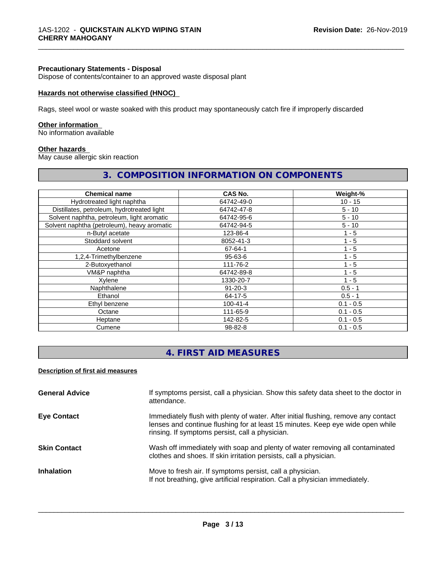#### **Precautionary Statements - Disposal**

Dispose of contents/container to an approved waste disposal plant

#### **Hazards not otherwise classified (HNOC)**

Rags, steel wool or waste soaked with this product may spontaneously catch fire if improperly discarded

#### **Other information**

No information available

#### **Other hazards**

May cause allergic skin reaction

### **3. COMPOSITION INFORMATION ON COMPONENTS**

\_\_\_\_\_\_\_\_\_\_\_\_\_\_\_\_\_\_\_\_\_\_\_\_\_\_\_\_\_\_\_\_\_\_\_\_\_\_\_\_\_\_\_\_\_\_\_\_\_\_\_\_\_\_\_\_\_\_\_\_\_\_\_\_\_\_\_\_\_\_\_\_\_\_\_\_\_\_\_\_\_\_\_\_\_\_\_\_\_\_\_\_\_

| <b>Chemical name</b>                        | <b>CAS No.</b> | Weight-%    |
|---------------------------------------------|----------------|-------------|
| Hydrotreated light naphtha                  | 64742-49-0     | $10 - 15$   |
| Distillates, petroleum, hydrotreated light  | 64742-47-8     | $5 - 10$    |
| Solvent naphtha, petroleum, light aromatic  | 64742-95-6     | $5 - 10$    |
| Solvent naphtha (petroleum), heavy aromatic | 64742-94-5     | $5 - 10$    |
| n-Butyl acetate                             | 123-86-4       | $1 - 5$     |
| Stoddard solvent                            | 8052-41-3      | $1 - 5$     |
| Acetone                                     | 67-64-1        | $1 - 5$     |
| 1,2,4-Trimethylbenzene                      | $95 - 63 - 6$  | $1 - 5$     |
| 2-Butoxyethanol                             | 111-76-2       | $1 - 5$     |
| VM&P naphtha                                | 64742-89-8     | $1 - 5$     |
| Xylene                                      | 1330-20-7      | $1 - 5$     |
| Naphthalene                                 | $91 - 20 - 3$  | $0.5 - 1$   |
| Ethanol                                     | 64-17-5        | $0.5 - 1$   |
| Ethyl benzene                               | $100 - 41 - 4$ | $0.1 - 0.5$ |
| Octane                                      | 111-65-9       | $0.1 - 0.5$ |
| Heptane                                     | 142-82-5       | $0.1 - 0.5$ |
| Cumene                                      | 98-82-8        | $0.1 - 0.5$ |

# **4. FIRST AID MEASURES**

#### **Description of first aid measures**

| <b>General Advice</b> | If symptoms persist, call a physician. Show this safety data sheet to the doctor in<br>attendance.                                                                                                                      |
|-----------------------|-------------------------------------------------------------------------------------------------------------------------------------------------------------------------------------------------------------------------|
| <b>Eye Contact</b>    | Immediately flush with plenty of water. After initial flushing, remove any contact<br>lenses and continue flushing for at least 15 minutes. Keep eye wide open while<br>rinsing. If symptoms persist, call a physician. |
| <b>Skin Contact</b>   | Wash off immediately with soap and plenty of water removing all contaminated<br>clothes and shoes. If skin irritation persists, call a physician.                                                                       |
| <b>Inhalation</b>     | Move to fresh air. If symptoms persist, call a physician.<br>If not breathing, give artificial respiration. Call a physician immediately.                                                                               |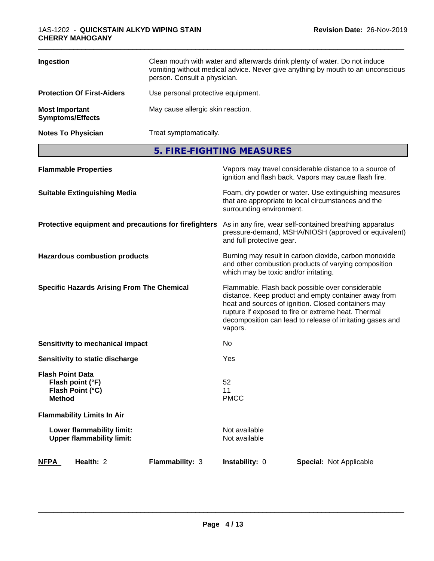| Ingestion                                        | Clean mouth with water and afterwards drink plenty of water. Do not induce<br>vomiting without medical advice. Never give anything by mouth to an unconscious<br>person. Consult a physician. |
|--------------------------------------------------|-----------------------------------------------------------------------------------------------------------------------------------------------------------------------------------------------|
| <b>Protection Of First-Aiders</b>                | Use personal protective equipment.                                                                                                                                                            |
| <b>Most Important</b><br><b>Symptoms/Effects</b> | May cause allergic skin reaction.                                                                                                                                                             |
| <b>Notes To Physician</b>                        | Treat symptomatically.                                                                                                                                                                        |

**5. FIRE-FIGHTING MEASURES**

| <b>Flammable Properties</b>                                                      | Vapors may travel considerable distance to a source of<br>ignition and flash back. Vapors may cause flash fire.                                                                                                                                                                                |
|----------------------------------------------------------------------------------|------------------------------------------------------------------------------------------------------------------------------------------------------------------------------------------------------------------------------------------------------------------------------------------------|
| <b>Suitable Extinguishing Media</b>                                              | Foam, dry powder or water. Use extinguishing measures<br>that are appropriate to local circumstances and the<br>surrounding environment.                                                                                                                                                       |
| Protective equipment and precautions for firefighters                            | As in any fire, wear self-contained breathing apparatus<br>pressure-demand, MSHA/NIOSH (approved or equivalent)<br>and full protective gear.                                                                                                                                                   |
| <b>Hazardous combustion products</b>                                             | Burning may result in carbon dioxide, carbon monoxide<br>and other combustion products of varying composition<br>which may be toxic and/or irritating.                                                                                                                                         |
| <b>Specific Hazards Arising From The Chemical</b>                                | Flammable. Flash back possible over considerable<br>distance. Keep product and empty container away from<br>heat and sources of ignition. Closed containers may<br>rupture if exposed to fire or extreme heat. Thermal<br>decomposition can lead to release of irritating gases and<br>vapors. |
| Sensitivity to mechanical impact                                                 | No                                                                                                                                                                                                                                                                                             |
| Sensitivity to static discharge                                                  | Yes                                                                                                                                                                                                                                                                                            |
| <b>Flash Point Data</b><br>Flash point (°F)<br>Flash Point (°C)<br><b>Method</b> | 52<br>11<br><b>PMCC</b>                                                                                                                                                                                                                                                                        |
| <b>Flammability Limits In Air</b>                                                |                                                                                                                                                                                                                                                                                                |
| Lower flammability limit:<br><b>Upper flammability limit:</b>                    | Not available<br>Not available                                                                                                                                                                                                                                                                 |
| <b>NFPA</b><br>Health: 2<br>Flammability: 3                                      | Instability: 0<br><b>Special: Not Applicable</b>                                                                                                                                                                                                                                               |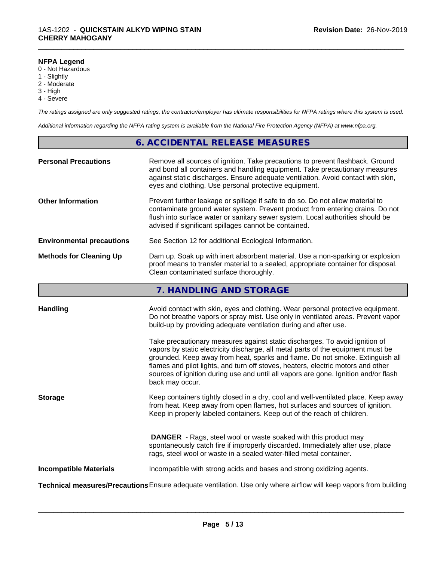### **NFPA Legend**

- 0 Not Hazardous
- 1 Slightly
- 2 Moderate
- 3 High
- 4 Severe

*The ratings assigned are only suggested ratings, the contractor/employer has ultimate responsibilities for NFPA ratings where this system is used.*

\_\_\_\_\_\_\_\_\_\_\_\_\_\_\_\_\_\_\_\_\_\_\_\_\_\_\_\_\_\_\_\_\_\_\_\_\_\_\_\_\_\_\_\_\_\_\_\_\_\_\_\_\_\_\_\_\_\_\_\_\_\_\_\_\_\_\_\_\_\_\_\_\_\_\_\_\_\_\_\_\_\_\_\_\_\_\_\_\_\_\_\_\_

*Additional information regarding the NFPA rating system is available from the National Fire Protection Agency (NFPA) at www.nfpa.org.*

# **6. ACCIDENTAL RELEASE MEASURES**

| <b>Personal Precautions</b>      | Remove all sources of ignition. Take precautions to prevent flashback. Ground<br>and bond all containers and handling equipment. Take precautionary measures<br>against static discharges. Ensure adequate ventilation. Avoid contact with skin,<br>eyes and clothing. Use personal protective equipment.  |
|----------------------------------|------------------------------------------------------------------------------------------------------------------------------------------------------------------------------------------------------------------------------------------------------------------------------------------------------------|
| <b>Other Information</b>         | Prevent further leakage or spillage if safe to do so. Do not allow material to<br>contaminate ground water system. Prevent product from entering drains. Do not<br>flush into surface water or sanitary sewer system. Local authorities should be<br>advised if significant spillages cannot be contained. |
| <b>Environmental precautions</b> | See Section 12 for additional Ecological Information.                                                                                                                                                                                                                                                      |
| <b>Methods for Cleaning Up</b>   | Dam up. Soak up with inert absorbent material. Use a non-sparking or explosion<br>proof means to transfer material to a sealed, appropriate container for disposal.<br>Clean contaminated surface thoroughly.                                                                                              |

# **7. HANDLING AND STORAGE**

| <b>Handling</b>               | Avoid contact with skin, eyes and clothing. Wear personal protective equipment.<br>Do not breathe vapors or spray mist. Use only in ventilated areas. Prevent vapor                                                                                                                                                  |
|-------------------------------|----------------------------------------------------------------------------------------------------------------------------------------------------------------------------------------------------------------------------------------------------------------------------------------------------------------------|
|                               | build-up by providing adequate ventilation during and after use.<br>Take precautionary measures against static discharges. To avoid ignition of<br>vapors by static electricity discharge, all metal parts of the equipment must be<br>grounded. Keep away from heat, sparks and flame. Do not smoke. Extinguish all |
|                               | flames and pilot lights, and turn off stoves, heaters, electric motors and other<br>sources of ignition during use and until all vapors are gone. Ignition and/or flash<br>back may occur.                                                                                                                           |
| <b>Storage</b>                | Keep containers tightly closed in a dry, cool and well-ventilated place. Keep away<br>from heat. Keep away from open flames, hot surfaces and sources of ignition.<br>Keep in properly labeled containers. Keep out of the reach of children.                                                                        |
|                               | <b>DANGER</b> - Rags, steel wool or waste soaked with this product may<br>spontaneously catch fire if improperly discarded. Immediately after use, place<br>rags, steel wool or waste in a sealed water-filled metal container.                                                                                      |
| <b>Incompatible Materials</b> | Incompatible with strong acids and bases and strong oxidizing agents.                                                                                                                                                                                                                                                |
|                               | Technical measures/Precautions Ensure adequate ventilation. Use only where airflow will keep vapors from building                                                                                                                                                                                                    |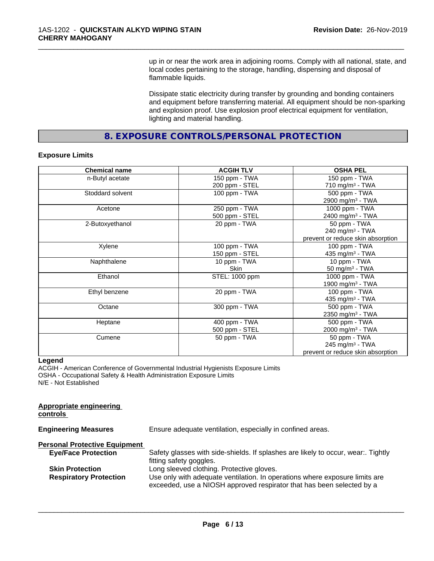up in or near the work area in adjoining rooms. Comply with all national, state, and local codes pertaining to the storage, handling, dispensing and disposal of flammable liquids.

\_\_\_\_\_\_\_\_\_\_\_\_\_\_\_\_\_\_\_\_\_\_\_\_\_\_\_\_\_\_\_\_\_\_\_\_\_\_\_\_\_\_\_\_\_\_\_\_\_\_\_\_\_\_\_\_\_\_\_\_\_\_\_\_\_\_\_\_\_\_\_\_\_\_\_\_\_\_\_\_\_\_\_\_\_\_\_\_\_\_\_\_\_

Dissipate static electricity during transfer by grounding and bonding containers and equipment before transferring material. All equipment should be non-sparking and explosion proof. Use explosion proof electrical equipment for ventilation, lighting and material handling.

**8. EXPOSURE CONTROLS/PERSONAL PROTECTION**

### **Exposure Limits**

| <b>Chemical name</b> | <b>ACGIH TLV</b> | <b>OSHA PEL</b>                   |
|----------------------|------------------|-----------------------------------|
| n-Butyl acetate      | 150 ppm - TWA    | 150 ppm - TWA                     |
|                      | 200 ppm - STEL   | 710 mg/m $3$ - TWA                |
| Stoddard solvent     | 100 ppm - TWA    | 500 ppm - TWA                     |
|                      |                  | 2900 mg/m <sup>3</sup> - TWA      |
| Acetone              | 250 ppm - TWA    | 1000 ppm - TWA                    |
|                      | 500 ppm - STEL   | 2400 mg/m <sup>3</sup> - TWA      |
| 2-Butoxyethanol      | 20 ppm - TWA     | 50 ppm - TWA                      |
|                      |                  | 240 mg/m <sup>3</sup> - TWA       |
|                      |                  | prevent or reduce skin absorption |
| Xylene               | 100 ppm - TWA    | $100$ ppm $-$ TWA                 |
|                      | 150 ppm - STEL   | 435 mg/m <sup>3</sup> - TWA       |
| Naphthalene          | 10 ppm - TWA     | 10 ppm - TWA                      |
|                      | Skin             | 50 mg/m <sup>3</sup> - TWA        |
| Ethanol              | STEL: 1000 ppm   | 1000 ppm - TWA                    |
|                      |                  | 1900 mg/m <sup>3</sup> - TWA      |
| Ethyl benzene        | 20 ppm - TWA     | 100 ppm - TWA                     |
|                      |                  | 435 mg/m $3$ - TWA                |
| Octane               | 300 ppm - TWA    | 500 ppm - TWA                     |
|                      |                  | 2350 mg/m <sup>3</sup> - TWA      |
| Heptane              | 400 ppm - TWA    | 500 ppm - TWA                     |
|                      | 500 ppm - STEL   | 2000 mg/m <sup>3</sup> - TWA      |
| Cumene               | 50 ppm - TWA     | 50 ppm - TWA                      |
|                      |                  | 245 mg/m <sup>3</sup> - TWA       |
|                      |                  | prevent or reduce skin absorption |

#### **Legend**

ACGIH - American Conference of Governmental Industrial Hygienists Exposure Limits OSHA - Occupational Safety & Health Administration Exposure Limits N/E - Not Established

| <b>Appropriate engineering</b><br>controls |                                                                                                                                                      |
|--------------------------------------------|------------------------------------------------------------------------------------------------------------------------------------------------------|
| <b>Engineering Measures</b>                | Ensure adequate ventilation, especially in confined areas.                                                                                           |
| <b>Personal Protective Equipment</b>       |                                                                                                                                                      |
| <b>Eye/Face Protection</b>                 | Safety glasses with side-shields. If splashes are likely to occur, wear Tightly<br>fitting safety goggles.                                           |
| <b>Skin Protection</b>                     | Long sleeved clothing. Protective gloves.                                                                                                            |
| <b>Respiratory Protection</b>              | Use only with adequate ventilation. In operations where exposure limits are<br>exceeded, use a NIOSH approved respirator that has been selected by a |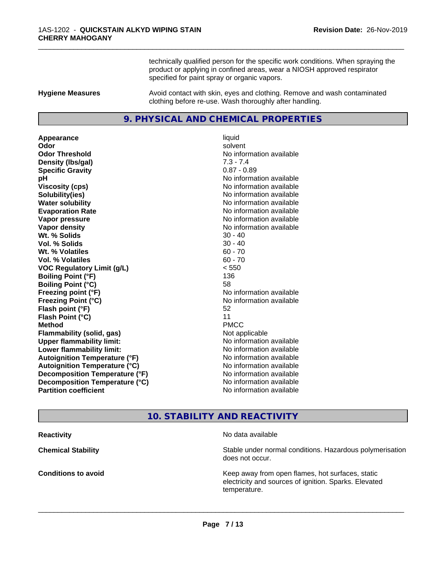technically qualified person for the specific work conditions. When spraying the product or applying in confined areas, wear a NIOSH approved respirator specified for paint spray or organic vapors.

\_\_\_\_\_\_\_\_\_\_\_\_\_\_\_\_\_\_\_\_\_\_\_\_\_\_\_\_\_\_\_\_\_\_\_\_\_\_\_\_\_\_\_\_\_\_\_\_\_\_\_\_\_\_\_\_\_\_\_\_\_\_\_\_\_\_\_\_\_\_\_\_\_\_\_\_\_\_\_\_\_\_\_\_\_\_\_\_\_\_\_\_\_

**Hygiene Measures** Avoid contact with skin, eyes and clothing. Remove and wash contaminated clothing before re-use. Wash thoroughly after handling.

#### **9. PHYSICAL AND CHEMICAL PROPERTIES**

**Appearance** liquid **Odor** solvent **Odor Threshold No information available No information available Density (lbs/gal)** 7.3 - 7.4 **Specific Gravity** 0.87 - 0.89 **pH** No information available **Viscosity (cps)** No information available **Solubility(ies)** No information available **Water solubility Water solubility Water solubility Water solubility Water solubility Water solution Evaporation Rate No information available No information available Vapor pressure** No information available **No information** available **Vapor density No information available No information available Wt.** % Solids 30 - 40 **Vol. % Solids** 30 - 40 **Wt. % Volatiles** 60 - 70 **Vol. % Volatiles** 60 - 70 **VOC Regulatory Limit (g/L)** < 550 **Boiling Point (°F)** 136 **Boiling Point (°C)** 58 **Freezing point (°F)** No information available **Freezing Point (°C)** No information available **Flash point (°F)** 52 **Flash Point (°C)** 11 **Method** PMCC **Flammability (solid, gas)** Not applicable **Upper flammability limit:** No information available **Lower flammability limit:** No information available **Autoignition Temperature (°F)** No information available **Autoignition Temperature (°C)** No information available **Decomposition Temperature (°F)** No information available **Decomposition Temperature (°C)** No information available<br> **Partition coefficient Partition available** 

**No information available** 

# **10. STABILITY AND REACTIVITY**

**Reactivity No data available Chemical Stability Stability** Stable under normal conditions. Hazardous polymerisation does not occur. **Conditions to avoid EXECUTE:** The Metal Metal Metal Metal Metal Metal Metal Metal Metal Metal Metal Metal Metal Metal Metal Metal Metal Metal Metal Metal Metal Metal Metal Metal Metal Metal Metal Metal Metal Metal Metal electricity and sources of ignition. Sparks. Elevated temperature.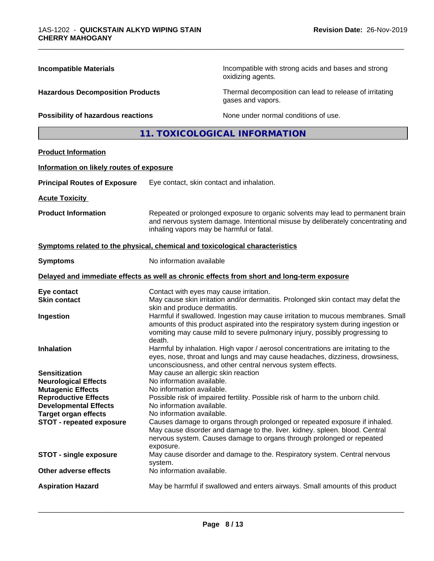| <b>Incompatible Materials</b>                                                 |                                                                                                                                                                                                                                                                                     | Incompatible with strong acids and bases and strong<br>oxidizing agents.                                                                                                                                                           |  |  |
|-------------------------------------------------------------------------------|-------------------------------------------------------------------------------------------------------------------------------------------------------------------------------------------------------------------------------------------------------------------------------------|------------------------------------------------------------------------------------------------------------------------------------------------------------------------------------------------------------------------------------|--|--|
| <b>Hazardous Decomposition Products</b><br>Possibility of hazardous reactions |                                                                                                                                                                                                                                                                                     | Thermal decomposition can lead to release of irritating<br>gases and vapors.                                                                                                                                                       |  |  |
|                                                                               |                                                                                                                                                                                                                                                                                     | None under normal conditions of use.                                                                                                                                                                                               |  |  |
|                                                                               |                                                                                                                                                                                                                                                                                     | 11. TOXICOLOGICAL INFORMATION                                                                                                                                                                                                      |  |  |
| <b>Product Information</b>                                                    |                                                                                                                                                                                                                                                                                     |                                                                                                                                                                                                                                    |  |  |
| Information on likely routes of exposure                                      |                                                                                                                                                                                                                                                                                     |                                                                                                                                                                                                                                    |  |  |
| <b>Principal Routes of Exposure</b>                                           | Eye contact, skin contact and inhalation.                                                                                                                                                                                                                                           |                                                                                                                                                                                                                                    |  |  |
| <b>Acute Toxicity</b>                                                         |                                                                                                                                                                                                                                                                                     |                                                                                                                                                                                                                                    |  |  |
| <b>Product Information</b>                                                    | Repeated or prolonged exposure to organic solvents may lead to permanent brain<br>and nervous system damage. Intentional misuse by deliberately concentrating and<br>inhaling vapors may be harmful or fatal.                                                                       |                                                                                                                                                                                                                                    |  |  |
| Symptoms related to the physical, chemical and toxicological characteristics  |                                                                                                                                                                                                                                                                                     |                                                                                                                                                                                                                                    |  |  |
| <b>Symptoms</b>                                                               | No information available                                                                                                                                                                                                                                                            |                                                                                                                                                                                                                                    |  |  |
|                                                                               |                                                                                                                                                                                                                                                                                     | Delayed and immediate effects as well as chronic effects from short and long-term exposure                                                                                                                                         |  |  |
| Eye contact                                                                   | Contact with eyes may cause irritation.                                                                                                                                                                                                                                             |                                                                                                                                                                                                                                    |  |  |
| <b>Skin contact</b>                                                           |                                                                                                                                                                                                                                                                                     | May cause skin irritation and/or dermatitis. Prolonged skin contact may defat the                                                                                                                                                  |  |  |
| Ingestion                                                                     | skin and produce dermatitis.<br>Harmful if swallowed. Ingestion may cause irritation to mucous membranes. Small<br>amounts of this product aspirated into the respiratory system during ingestion or<br>vomiting may cause mild to severe pulmonary injury, possibly progressing to |                                                                                                                                                                                                                                    |  |  |
| <b>Inhalation</b>                                                             | death.<br>Harmful by inhalation. High vapor / aerosol concentrations are irritating to the<br>eyes, nose, throat and lungs and may cause headaches, dizziness, drowsiness,                                                                                                          |                                                                                                                                                                                                                                    |  |  |
| <b>Sensitization</b>                                                          | unconsciousness, and other central nervous system effects.<br>May cause an allergic skin reaction                                                                                                                                                                                   |                                                                                                                                                                                                                                    |  |  |
| <b>Neurological Effects</b>                                                   | No information available.                                                                                                                                                                                                                                                           |                                                                                                                                                                                                                                    |  |  |
| <b>Mutagenic Effects</b>                                                      | No information available.                                                                                                                                                                                                                                                           |                                                                                                                                                                                                                                    |  |  |
| <b>Reproductive Effects</b><br><b>Developmental Effects</b>                   | Possible risk of impaired fertility. Possible risk of harm to the unborn child.                                                                                                                                                                                                     |                                                                                                                                                                                                                                    |  |  |
| <b>Target organ effects</b>                                                   | No information available.<br>No information available.                                                                                                                                                                                                                              |                                                                                                                                                                                                                                    |  |  |
| <b>STOT - repeated exposure</b>                                               | exposure.                                                                                                                                                                                                                                                                           | Causes damage to organs through prolonged or repeated exposure if inhaled.<br>May cause disorder and damage to the. liver. kidney. spleen. blood. Central<br>nervous system. Causes damage to organs through prolonged or repeated |  |  |
| <b>STOT - single exposure</b>                                                 | May cause disorder and damage to the. Respiratory system. Central nervous<br>system.                                                                                                                                                                                                |                                                                                                                                                                                                                                    |  |  |
| Other adverse effects                                                         | No information available.                                                                                                                                                                                                                                                           |                                                                                                                                                                                                                                    |  |  |
| <b>Aspiration Hazard</b>                                                      | May be harmful if swallowed and enters airways. Small amounts of this product                                                                                                                                                                                                       |                                                                                                                                                                                                                                    |  |  |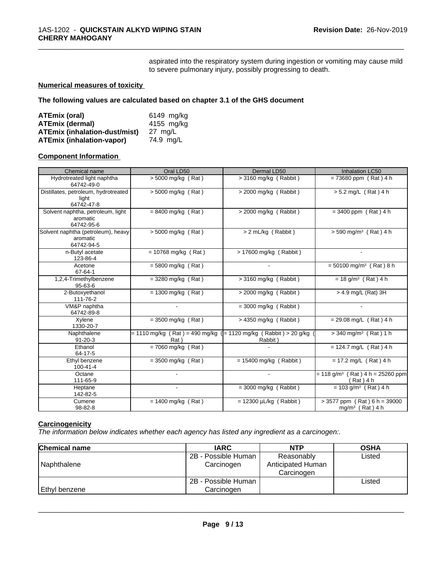aspirated into the respiratory system during ingestion or vomiting may cause mild to severe pulmonary injury, possibly progressing to death.

\_\_\_\_\_\_\_\_\_\_\_\_\_\_\_\_\_\_\_\_\_\_\_\_\_\_\_\_\_\_\_\_\_\_\_\_\_\_\_\_\_\_\_\_\_\_\_\_\_\_\_\_\_\_\_\_\_\_\_\_\_\_\_\_\_\_\_\_\_\_\_\_\_\_\_\_\_\_\_\_\_\_\_\_\_\_\_\_\_\_\_\_\_

#### **Numerical measures of toxicity**

**The following values are calculated based on chapter 3.1 of the GHS document**

| ATEmix (oral)                        | 6149 mg/ka        |
|--------------------------------------|-------------------|
| <b>ATEmix (dermal)</b>               | 4155 mg/kg        |
| <b>ATEmix (inhalation-dust/mist)</b> | $27 \text{ ma/L}$ |
| <b>ATEmix (inhalation-vapor)</b>     | 74.9 ma/L         |

#### **Component Information**

| Chemical name                                                | Oral LD50                                                                   | Dermal LD50                 | <b>Inhalation LC50</b>                                        |
|--------------------------------------------------------------|-----------------------------------------------------------------------------|-----------------------------|---------------------------------------------------------------|
| Hydrotreated light naphtha<br>64742-49-0                     | $> 5000$ mg/kg (Rat)                                                        | $>$ 3160 mg/kg (Rabbit)     | $= 73680$ ppm (Rat) 4 h                                       |
| Distillates, petroleum, hydrotreated<br>light<br>64742-47-8  | $> 5000$ mg/kg (Rat)                                                        | > 2000 mg/kg (Rabbit)       | $> 5.2$ mg/L (Rat) 4 h                                        |
| Solvent naphtha, petroleum, light<br>aromatic<br>64742-95-6  | $= 8400$ mg/kg (Rat)                                                        | $>$ 2000 mg/kg (Rabbit)     | $= 3400$ ppm (Rat) 4 h                                        |
| Solvent naphtha (petroleum), heavy<br>aromatic<br>64742-94-5 | > 5000 mg/kg (Rat)                                                          | > 2 mL/kg (Rabbit)          | $> 590$ mg/m <sup>3</sup> (Rat) 4 h                           |
| n-Butyl acetate<br>123-86-4                                  | $= 10768$ mg/kg (Rat)                                                       | > 17600 mg/kg (Rabbit)      |                                                               |
| Acetone<br>67-64-1                                           | $= 5800$ mg/kg (Rat)                                                        |                             | $= 50100$ mg/m <sup>3</sup> (Rat) 8 h                         |
| 1,2,4-Trimethylbenzene<br>$95 - 63 - 6$                      | $=$ 3280 mg/kg (Rat)                                                        | $>$ 3160 mg/kg (Rabbit)     | $= 18$ g/m <sup>3</sup> (Rat) 4 h                             |
| 2-Butoxyethanol<br>111-76-2                                  | $= 1300$ mg/kg (Rat)                                                        | $>$ 2000 mg/kg (Rabbit)     | $>$ 4.9 mg/L (Rat) 3H                                         |
| VM&P naphtha<br>64742-89-8                                   |                                                                             | $=$ 3000 mg/kg (Rabbit)     |                                                               |
| Xylene<br>1330-20-7                                          | $=$ 3500 mg/kg (Rat)                                                        | $>$ 4350 mg/kg (Rabbit)     | $= 29.08$ mg/L (Rat) 4 h                                      |
| Naphthalene<br>$91 - 20 - 3$                                 | = 1110 mg/kg ( Rat ) = 490 mg/kg ( = 1120 mg/kg ( Rabbit ) > 20 g/kg<br>Rat | Rabbit)                     | $>$ 340 mg/m <sup>3</sup> (Rat) 1 h                           |
| Ethanol<br>64-17-5                                           | $= 7060$ mg/kg (Rat)                                                        |                             | $= 124.7$ mg/L (Rat) 4 h                                      |
| Ethyl benzene<br>100-41-4                                    | $=$ 3500 mg/kg (Rat)                                                        | $= 15400$ mg/kg (Rabbit)    | $= 17.2$ mg/L (Rat) 4 h                                       |
| Octane<br>111-65-9                                           |                                                                             | $\blacksquare$              | $= 118$ g/m <sup>3</sup> (Rat) 4 h = 25260 ppm<br>(Rat) 4 h   |
| Heptane<br>142-82-5                                          |                                                                             | $=$ 3000 mg/kg (Rabbit)     | $= 103$ g/m <sup>3</sup> (Rat) 4 h                            |
| Cumene<br>98-82-8                                            | $= 1400$ mg/kg (Rat)                                                        | $= 12300 \mu L/kg$ (Rabbit) | $> 3577$ ppm (Rat) 6 h = 39000<br>mg/m <sup>3</sup> (Rat) 4 h |

# **Carcinogenicity**

*The information below indicateswhether each agency has listed any ingredient as a carcinogen:.*

| <b>Chemical name</b> | <b>IARC</b>         | <b>NTP</b>        | <b>OSHA</b> |
|----------------------|---------------------|-------------------|-------------|
|                      | 2B - Possible Human | Reasonably        | Listed      |
| Naphthalene          | Carcinogen          | Anticipated Human |             |
|                      |                     | Carcinogen        |             |
|                      | 2B - Possible Human |                   | Listed      |
| Ethyl benzene        | Carcinogen          |                   |             |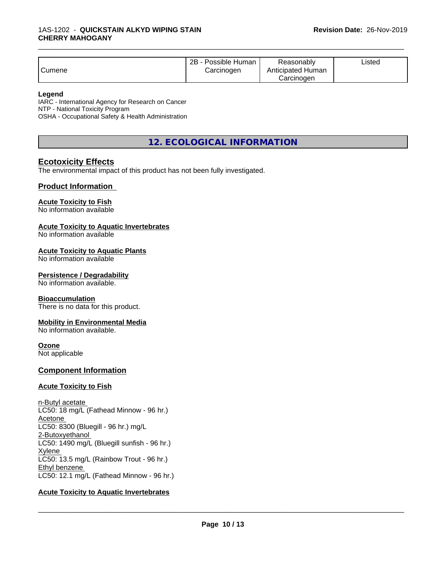| Cumene | · Possible Human<br>2B -<br>Carcinogen | Reasonablv<br>Anticipated Human<br>Carcinoɑen | ∟isted |
|--------|----------------------------------------|-----------------------------------------------|--------|
|--------|----------------------------------------|-----------------------------------------------|--------|

#### **Legend**

IARC - International Agency for Research on Cancer NTP - National Toxicity Program OSHA - Occupational Safety & Health Administration

**12. ECOLOGICAL INFORMATION**

# **Ecotoxicity Effects**

The environmental impact of this product has not been fully investigated.

### **Product Information**

#### **Acute Toxicity to Fish**

No information available

#### **Acute Toxicity to Aquatic Invertebrates**

No information available

#### **Acute Toxicity to Aquatic Plants**

No information available

#### **Persistence / Degradability**

No information available.

#### **Bioaccumulation**

There is no data for this product.

#### **Mobility in Environmental Media**

No information available.

#### **Ozone**

Not applicable

### **Component Information**

#### **Acute Toxicity to Fish**

n-Butyl acetate LC50: 18 mg/L (Fathead Minnow - 96 hr.) Acetone LC50: 8300 (Bluegill - 96 hr.) mg/L 2-Butoxyethanol LC50: 1490 mg/L (Bluegill sunfish - 96 hr.) Xylene LC50: 13.5 mg/L (Rainbow Trout - 96 hr.) Ethyl benzene LC50: 12.1 mg/L (Fathead Minnow - 96 hr.)

#### **Acute Toxicity to Aquatic Invertebrates**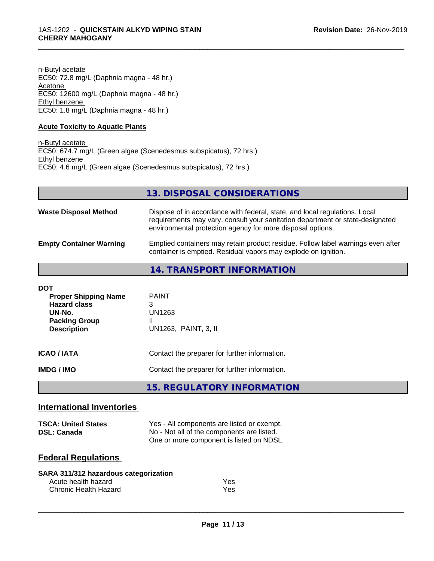n-Butyl acetate EC50: 72.8 mg/L (Daphnia magna - 48 hr.) Acetone EC50: 12600 mg/L (Daphnia magna - 48 hr.) Ethyl benzene EC50: 1.8 mg/L (Daphnia magna - 48 hr.)

### **Acute Toxicity to Aquatic Plants**

n-Butyl acetate EC50: 674.7 mg/L (Green algae (Scenedesmus subspicatus), 72 hrs.) Ethyl benzene EC50: 4.6 mg/L (Green algae (Scenedesmus subspicatus), 72 hrs.)

| 13. DISPOSAL CONSIDERATIONS |
|-----------------------------|
|-----------------------------|

\_\_\_\_\_\_\_\_\_\_\_\_\_\_\_\_\_\_\_\_\_\_\_\_\_\_\_\_\_\_\_\_\_\_\_\_\_\_\_\_\_\_\_\_\_\_\_\_\_\_\_\_\_\_\_\_\_\_\_\_\_\_\_\_\_\_\_\_\_\_\_\_\_\_\_\_\_\_\_\_\_\_\_\_\_\_\_\_\_\_\_\_\_

| <b>Waste Disposal Method</b>   | Dispose of in accordance with federal, state, and local regulations. Local<br>requirements may vary, consult your sanitation department or state-designated<br>environmental protection agency for more disposal options. |
|--------------------------------|---------------------------------------------------------------------------------------------------------------------------------------------------------------------------------------------------------------------------|
| <b>Empty Container Warning</b> | Emptied containers may retain product residue. Follow label warnings even after<br>container is emptied. Residual vapors may explode on ignition.                                                                         |

**14. TRANSPORT INFORMATION**

| <b>DOT</b><br><b>Proper Shipping Name</b><br><b>Hazard class</b><br>UN-No.<br><b>Packing Group</b><br><b>Description</b> | <b>PAINT</b><br>3<br>UN1263<br>Ш<br>UN1263, PAINT, 3, II                                       |
|--------------------------------------------------------------------------------------------------------------------------|------------------------------------------------------------------------------------------------|
| <b>ICAO / IATA</b><br><b>IMDG / IMO</b>                                                                                  | Contact the preparer for further information.<br>Contact the preparer for further information. |
|                                                                                                                          | 15. REGULATORY INFORMATION                                                                     |

# **International Inventories**

| <b>TSCA: United States</b> | Yes - All components are listed or exempt. |
|----------------------------|--------------------------------------------|
| <b>DSL: Canada</b>         | No - Not all of the components are listed. |
|                            | One or more component is listed on NDSL.   |

# **Federal Regulations**

| SARA 311/312 hazardous categorization |            |
|---------------------------------------|------------|
| Acute health hazard                   | <b>Yes</b> |
| Chronic Health Hazard                 | Yes        |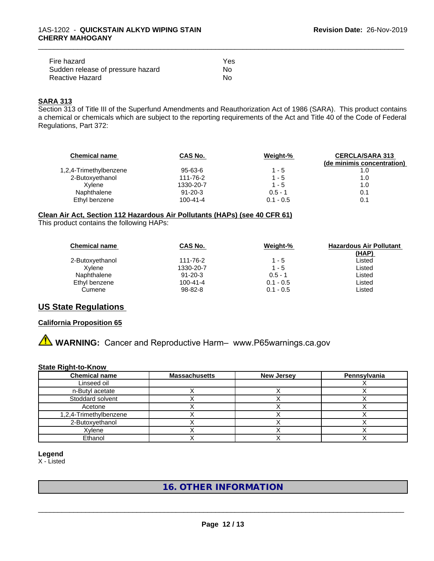| Fire hazard                       | Yes |
|-----------------------------------|-----|
| Sudden release of pressure hazard | N٥  |
| Reactive Hazard                   | No. |

# **SARA 313**

Section 313 of Title III of the Superfund Amendments and Reauthorization Act of 1986 (SARA). This product contains a chemical or chemicals which are subject to the reporting requirements of the Act and Title 40 of the Code of Federal Regulations, Part 372:

\_\_\_\_\_\_\_\_\_\_\_\_\_\_\_\_\_\_\_\_\_\_\_\_\_\_\_\_\_\_\_\_\_\_\_\_\_\_\_\_\_\_\_\_\_\_\_\_\_\_\_\_\_\_\_\_\_\_\_\_\_\_\_\_\_\_\_\_\_\_\_\_\_\_\_\_\_\_\_\_\_\_\_\_\_\_\_\_\_\_\_\_\_

| <b>Chemical name</b>   | CAS No.        | Weight-%    | <b>CERCLA/SARA 313</b><br>(de minimis concentration) |
|------------------------|----------------|-------------|------------------------------------------------------|
| 1,2,4-Trimethylbenzene | $95 - 63 - 6$  | $1 - 5$     | 1.0                                                  |
| 2-Butoxyethanol        | 111-76-2       | $1 - 5$     | 1.0                                                  |
| Xvlene                 | 1330-20-7      | $1 - 5$     | 1.0                                                  |
| Naphthalene            | $91 - 20 - 3$  | $0.5 - 1$   | 0.1                                                  |
| Ethyl benzene          | $100 - 41 - 4$ | $0.1 - 0.5$ | 0.1                                                  |

#### **Clean Air Act,Section 112 Hazardous Air Pollutants (HAPs) (see 40 CFR 61)**

This product contains the following HAPs:

| <b>Chemical name</b> | CAS No.        | Weight-%    | <b>Hazardous Air Pollutant</b><br>(HAP) |
|----------------------|----------------|-------------|-----------------------------------------|
| 2-Butoxyethanol      | 111-76-2       | $1 - 5$     | Listed                                  |
| Xvlene               | 1330-20-7      | $1 - 5$     | Listed                                  |
| Naphthalene          | $91 - 20 - 3$  | $0.5 - 1$   | Listed                                  |
| Ethyl benzene        | $100 - 41 - 4$ | $0.1 - 0.5$ | Listed                                  |
| Cumene               | 98-82-8        | $0.1 - 0.5$ | Listed                                  |

# **US State Regulations**

#### **California Proposition 65**

**A WARNING:** Cancer and Reproductive Harm– www.P65warnings.ca.gov

#### **State Right-to-Know**

| <b>Chemical name</b>   | <b>Massachusetts</b> | <b>New Jersey</b> | Pennsylvania |
|------------------------|----------------------|-------------------|--------------|
| Linseed oil            |                      |                   |              |
| n-Butyl acetate        |                      |                   |              |
| Stoddard solvent       |                      |                   |              |
| Acetone                |                      |                   |              |
| 1,2,4-Trimethylbenzene |                      |                   |              |
| 2-Butoxyethanol        |                      |                   |              |
| Xylene                 |                      |                   |              |
| Ethanol                |                      |                   |              |

**Legend**

X - Listed

# **16. OTHER INFORMATION**